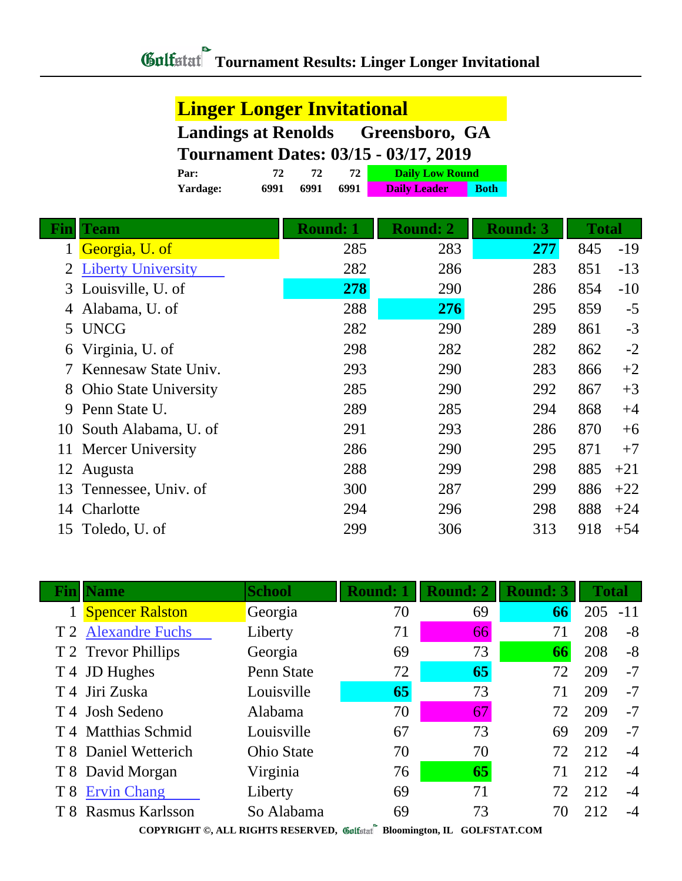**Yardage: 6991 6991 6991 Daily Leader Both**

## **Linger Longer Invitational**

|      |  |         | <b>Landings at Renolds</b> Greensboro, GA    |
|------|--|---------|----------------------------------------------|
|      |  |         | <b>Tournament Dates: 03/15 - 03/17, 2019</b> |
| Par: |  | - 72. F | <b>Daily Low Round</b>                       |

| Fin | <b>Team</b>                  | <b>Round: 1</b> | <b>Round: 2</b> | <b>Round: 3</b> | <b>Total</b> |       |
|-----|------------------------------|-----------------|-----------------|-----------------|--------------|-------|
| 1   | Georgia, U. of               | 285             | 283             | 277             | 845          | $-19$ |
|     | <b>Liberty University</b>    | 282             | 286             | 283             | 851          | $-13$ |
| 3   | Louisville, U. of            | 278             | 290             | 286             | 854          | $-10$ |
| 4   | Alabama, U. of               | 288             | 276             | 295             | 859          | $-5$  |
|     | 5 UNCG                       | 282             | 290             | 289             | 861          | $-3$  |
| 6   | Virginia, U. of              | 298             | 282             | 282             | 862          | $-2$  |
|     | Kennesaw State Univ.         | 293             | 290             | 283             | 866          | $+2$  |
| 8   | <b>Ohio State University</b> | 285             | 290             | 292             | 867          | $+3$  |
| 9   | Penn State U.                | 289             | 285             | 294             | 868          | $+4$  |
| 10  | South Alabama, U. of         | 291             | 293             | 286             | 870          | $+6$  |
| 11  | Mercer University            | 286             | 290             | 295             | 871          | $+7$  |
| 12  | Augusta                      | 288             | 299             | 298             | 885          | $+21$ |
| 13  | Tennessee, Univ. of          | 300             | 287             | 299             | 886          | $+22$ |
| 14  | Charlotte                    | 294             | 296             | 298             | 888          | $+24$ |
|     | 15 Toledo, U. of             | 299             | 306             | 313             | 918          | $+54$ |

| <b>Fin</b>   Name          | <b>School</b>     | <b>Round: 1</b> | <b>Round: 2</b> | <b>Round: 3</b> | <b>Total</b> |       |  |
|----------------------------|-------------------|-----------------|-----------------|-----------------|--------------|-------|--|
| <b>Spencer Ralston</b>     | Georgia           | 70              | 69              | 66              | 205          | $-11$ |  |
| T 2 Alexandre Fuchs        | Liberty           | 71              | 66              | 71              | 208          | $-8$  |  |
| T 2 Trevor Phillips        | Georgia           | 69              | 73              | 66              | 208          | $-8$  |  |
| T 4 JD Hughes              | Penn State        | 72              | 65              | 72              | 209          | $-7$  |  |
| T <sub>4</sub> Jiri Zuska  | Louisville        | 65              | 73              | 71              | 209          | $-7$  |  |
| T <sub>4</sub> Josh Sedeno | Alabama           | 70              | 67              | 72              | 209          | $-7$  |  |
| T 4 Matthias Schmid        | Louisville        | 67              | 73              | 69              | 209          | $-7$  |  |
| T 8 Daniel Wetterich       | <b>Ohio State</b> | 70              | 70              | 72              | 212          | $-4$  |  |
| T 8 David Morgan           | Virginia          | 76              | 65              | 71              | 212          | $-4$  |  |
| T 8 Ervin Chang            | Liberty           | 69              | 71              | 72              | 212          | $-4$  |  |
| T 8 Rasmus Karlsson        | So Alabama        | 69              | 73              | 70              | 212          | $-4$  |  |
|                            |                   |                 |                 |                 |              |       |  |

**COPYRIGHT ©, ALL RIGHTS RESERVED, Bloomington, IL GOLFSTAT.COM**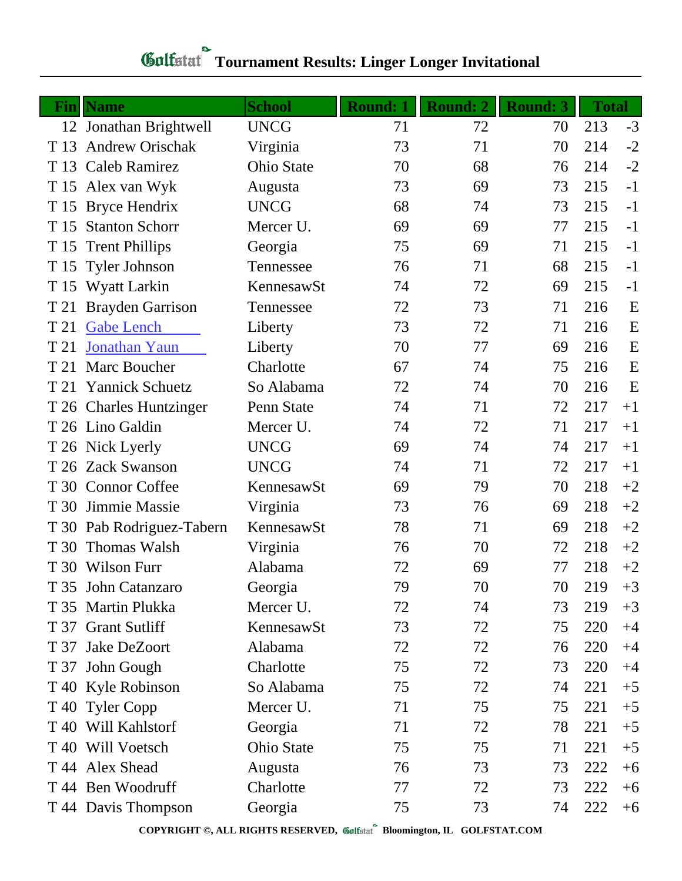| <b>Fin</b> | <b>Name</b>               | <b>School</b>     | <b>Round: 1</b> | <b>Round: 2</b> | <b>Round: 3</b> | <b>Total</b> |      |
|------------|---------------------------|-------------------|-----------------|-----------------|-----------------|--------------|------|
|            | 12 Jonathan Brightwell    | <b>UNCG</b>       | 71              | 72              | 70              | 213          | $-3$ |
| T 13       | <b>Andrew Orischak</b>    | Virginia          | 73              | 71              | 70              | 214          | $-2$ |
| T 13       | Caleb Ramirez             | <b>Ohio State</b> | 70              | 68              | 76              | 214          | $-2$ |
| T 15       | Alex van Wyk              | Augusta           | 73              | 69              | 73              | 215          | $-1$ |
| T 15       | <b>Bryce Hendrix</b>      | <b>UNCG</b>       | 68              | 74              | 73              | 215          | $-1$ |
| T 15       | <b>Stanton Schorr</b>     | Mercer U.         | 69              | 69              | 77              | 215          | $-1$ |
| T 15       | <b>Trent Phillips</b>     | Georgia           | 75              | 69              | 71              | 215          | $-1$ |
| T 15       | <b>Tyler Johnson</b>      | Tennessee         | 76              | 71              | 68              | 215          | $-1$ |
| T 15       | Wyatt Larkin              | KennesawSt        | 74              | 72              | 69              | 215          | $-1$ |
| T 21       | <b>Brayden Garrison</b>   | Tennessee         | 72              | 73              | 71              | 216          | E    |
| T 21       | <b>Gabe Lench</b>         | Liberty           | 73              | 72              | 71              | 216          | E    |
| T 21       | Jonathan Yaun             | Liberty           | 70              | 77              | 69              | 216          | E    |
| T 21       | Marc Boucher              | Charlotte         | 67              | 74              | 75              | 216          | E    |
| T 21       | <b>Yannick Schuetz</b>    | So Alabama        | 72              | 74              | 70              | 216          | E    |
|            | T 26 Charles Huntzinger   | Penn State        | 74              | 71              | 72              | 217          | $+1$ |
|            | T 26 Lino Galdin          | Mercer U.         | 74              | 72              | 71              | 217          | $+1$ |
|            | T 26 Nick Lyerly          | <b>UNCG</b>       | 69              | 74              | 74              | 217          | $+1$ |
|            | T 26 Zack Swanson         | <b>UNCG</b>       | 74              | 71              | 72              | 217          | $+1$ |
|            | T 30 Connor Coffee        | KennesawSt        | 69              | 79              | 70              | 218          | $+2$ |
| T 30       | Jimmie Massie             | Virginia          | 73              | 76              | 69              | 218          | $+2$ |
|            | T 30 Pab Rodriguez-Tabern | KennesawSt        | 78              | 71              | 69              | 218          | $+2$ |
| T 30       | Thomas Walsh              | Virginia          | 76              | 70              | 72              | 218          | $+2$ |
|            | T 30 Wilson Furr          | Alabama           | 72              | 69              | 77              | 218          | $+2$ |
|            | T 35 John Catanzaro       | Georgia           | 79              | 70              | 70              | 219          | $+3$ |
|            | T 35 Martin Plukka        | Mercer U.         | 72              | 74              | 73              | 219          | $+3$ |
|            | T 37 Grant Sutliff        | KennesawSt        | 73              | 72              | 75              | 220          | $+4$ |
|            | T 37 Jake DeZoort         | Alabama           | 72              | 72              | 76              | 220          | $+4$ |
|            | T 37 John Gough           | Charlotte         | 75              | 72              | 73              | 220          | $+4$ |
|            | T 40 Kyle Robinson        | So Alabama        | 75              | 72              | 74              | 221          | $+5$ |
|            | T 40 Tyler Copp           | Mercer U.         | 71              | 75              | 75              | 221          | $+5$ |
|            | T 40 Will Kahlstorf       | Georgia           | 71              | 72              | 78              | 221          | $+5$ |
|            | T 40 Will Voetsch         | <b>Ohio State</b> | 75              | 75              | 71              | 221          | $+5$ |
|            | T 44 Alex Shead           | Augusta           | 76              | 73              | 73              | 222          | $+6$ |
|            | T 44 Ben Woodruff         | Charlotte         | 77              | 72              | 73              | 222          | $+6$ |
|            | T 44 Davis Thompson       | Georgia           | 75              | 73              | 74              | 222          | $+6$ |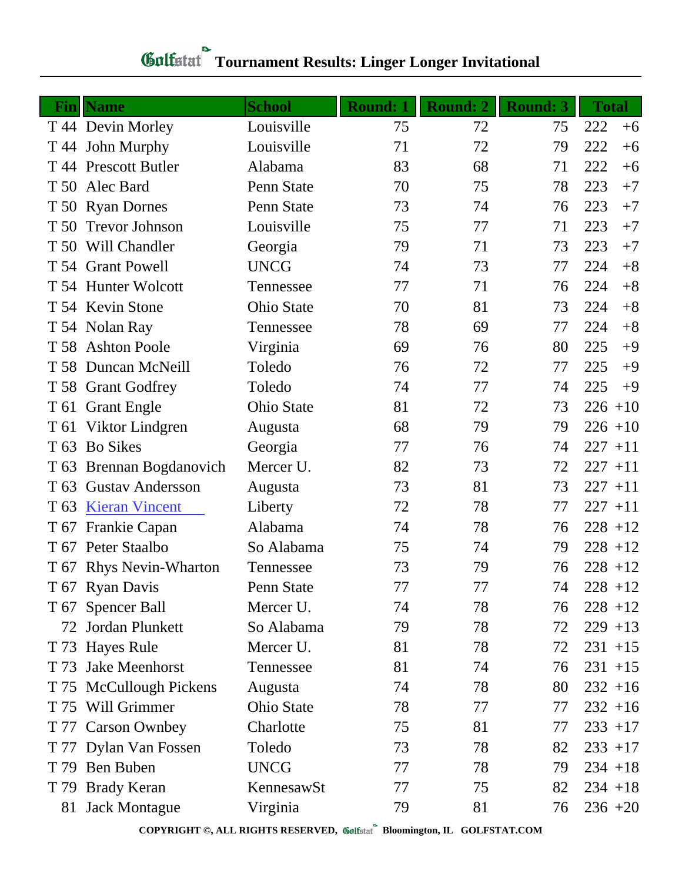|                 | <b>Fin</b> Name         | <b>School</b>     | <b>Round: 1</b> | <b>Round: 2</b> | <b>Round: 3</b> | <b>Total</b> |
|-----------------|-------------------------|-------------------|-----------------|-----------------|-----------------|--------------|
|                 | T 44 Devin Morley       | Louisville        | 75              | 72              | 75              | 222<br>$+6$  |
|                 | T 44 John Murphy        | Louisville        | 71              | 72              | 79              | 222<br>$+6$  |
|                 | T 44 Prescott Butler    | Alabama           | 83              | 68              | 71              | 222<br>$+6$  |
| T 50            | Alec Bard               | Penn State        | 70              | 75              | 78              | 223<br>$+7$  |
|                 | T 50 Ryan Dornes        | Penn State        | 73              | 74              | 76              | 223<br>$+7$  |
| T 50            | <b>Trevor Johnson</b>   | Louisville        | 75              | 77              | 71              | 223<br>$+7$  |
|                 | T 50 Will Chandler      | Georgia           | 79              | 71              | 73              | 223<br>$+7$  |
|                 | T 54 Grant Powell       | <b>UNCG</b>       | 74              | 73              | 77              | 224<br>$+8$  |
|                 | T 54 Hunter Wolcott     | Tennessee         | 77              | 71              | 76              | 224<br>$+8$  |
|                 | T 54 Kevin Stone        | <b>Ohio State</b> | 70              | 81              | 73              | 224<br>$+8$  |
|                 | T 54 Nolan Ray          | Tennessee         | 78              | 69              | 77              | 224<br>$+8$  |
|                 | T 58 Ashton Poole       | Virginia          | 69              | 76              | 80              | 225<br>$+9$  |
|                 | T 58 Duncan McNeill     | Toledo            | 76              | 72              | 77              | 225<br>$+9$  |
|                 | T 58 Grant Godfrey      | Toledo            | 74              | 77              | 74              | 225<br>$+9$  |
|                 | T 61 Grant Engle        | Ohio State        | 81              | 72              | 73              | $226 + 10$   |
|                 | T 61 Viktor Lindgren    | Augusta           | 68              | 79              | 79              | $226 + 10$   |
| T <sub>63</sub> | <b>Bo Sikes</b>         | Georgia           | 77              | 76              | 74              | $227 + 11$   |
| T 63            | Brennan Bogdanovich     | Mercer U.         | 82              | 73              | 72              | $227 + 11$   |
| T <sub>63</sub> | <b>Gustav Andersson</b> | Augusta           | 73              | 81              | 73              | $227 + 11$   |
| T 63            | <b>Kieran Vincent</b>   | Liberty           | 72              | 78              | 77              | $227 + 11$   |
| T 67            | Frankie Capan           | Alabama           | 74              | 78              | 76              | $228 + 12$   |
| T 67            | Peter Staalbo           | So Alabama        | 75              | 74              | 79              | $228 + 12$   |
|                 | T 67 Rhys Nevin-Wharton | Tennessee         | 73              | 79              | 76              | $228 + 12$   |
|                 | T 67 Ryan Davis         | Penn State        | 77              | 77              | 74              | $228 + 12$   |
|                 | T 67 Spencer Ball       | Mercer U.         | 74              | 78              | 76              | $228 + 12$   |
|                 | 72 Jordan Plunkett      | So Alabama        | 79              | 78              | 72              | $229 + 13$   |
|                 | T 73 Hayes Rule         | Mercer U.         | 81              | 78              | 72              | $231 + 15$   |
| T 73            | <b>Jake Meenhorst</b>   | Tennessee         | 81              | 74              | 76              | $231 + 15$   |
|                 | T 75 McCullough Pickens | Augusta           | 74              | 78              | 80              | $232 + 16$   |
|                 | T 75 Will Grimmer       | <b>Ohio State</b> | 78              | 77              | 77              | $232 + 16$   |
|                 | T 77 Carson Ownbey      | Charlotte         | 75              | 81              | 77              | $233 + 17$   |
|                 | T 77 Dylan Van Fossen   | Toledo            | 73              | 78              | 82              | $233 + 17$   |
|                 | T 79 Ben Buben          | <b>UNCG</b>       | 77              | 78              | 79              | $234 + 18$   |
|                 | T 79 Brady Keran        | KennesawSt        | 77              | 75              | 82              | $234 + 18$   |
|                 | 81 Jack Montague        | Virginia          | 79              | 81              | 76              | $236 + 20$   |

## **Tournament Results: Linger Longer Invitational**